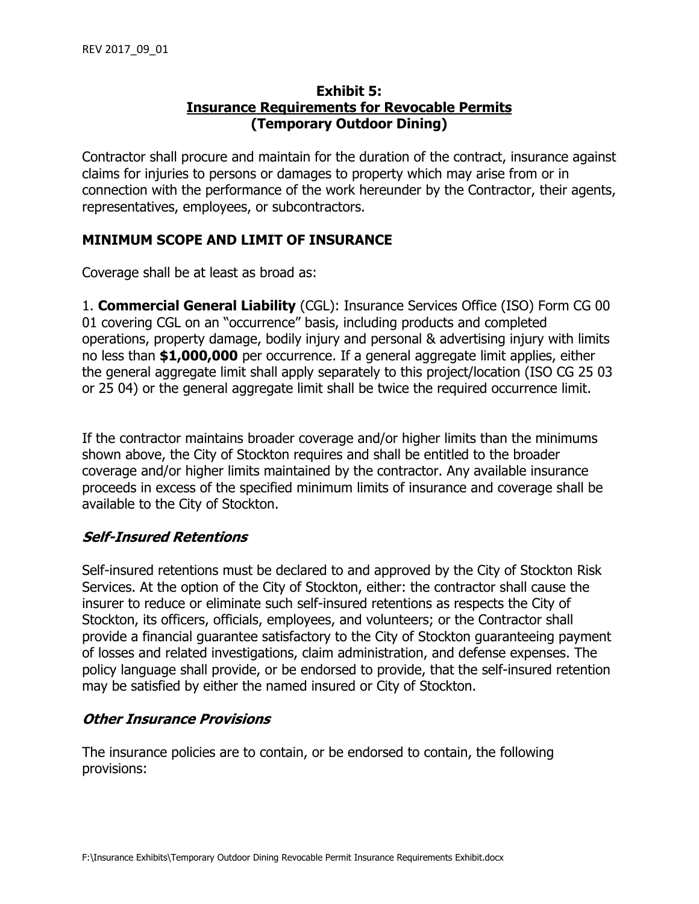### **Exhibit 5: Insurance Requirements for Revocable Permits (Temporary Outdoor Dining)**

Contractor shall procure and maintain for the duration of the contract, insurance against claims for injuries to persons or damages to property which may arise from or in connection with the performance of the work hereunder by the Contractor, their agents, representatives, employees, or subcontractors.

# **MINIMUM SCOPE AND LIMIT OF INSURANCE**

Coverage shall be at least as broad as:

1. **Commercial General Liability** (CGL): Insurance Services Office (ISO) Form CG 00 01 covering CGL on an "occurrence" basis, including products and completed operations, property damage, bodily injury and personal & advertising injury with limits no less than **\$1,000,000** per occurrence. If a general aggregate limit applies, either the general aggregate limit shall apply separately to this project/location (ISO CG 25 03 or 25 04) or the general aggregate limit shall be twice the required occurrence limit.

If the contractor maintains broader coverage and/or higher limits than the minimums shown above, the City of Stockton requires and shall be entitled to the broader coverage and/or higher limits maintained by the contractor. Any available insurance proceeds in excess of the specified minimum limits of insurance and coverage shall be available to the City of Stockton.

# **Self-Insured Retentions**

Self-insured retentions must be declared to and approved by the City of Stockton Risk Services. At the option of the City of Stockton, either: the contractor shall cause the insurer to reduce or eliminate such self-insured retentions as respects the City of Stockton, its officers, officials, employees, and volunteers; or the Contractor shall provide a financial guarantee satisfactory to the City of Stockton guaranteeing payment of losses and related investigations, claim administration, and defense expenses. The policy language shall provide, or be endorsed to provide, that the self-insured retention may be satisfied by either the named insured or City of Stockton.

# **Other Insurance Provisions**

The insurance policies are to contain, or be endorsed to contain, the following provisions: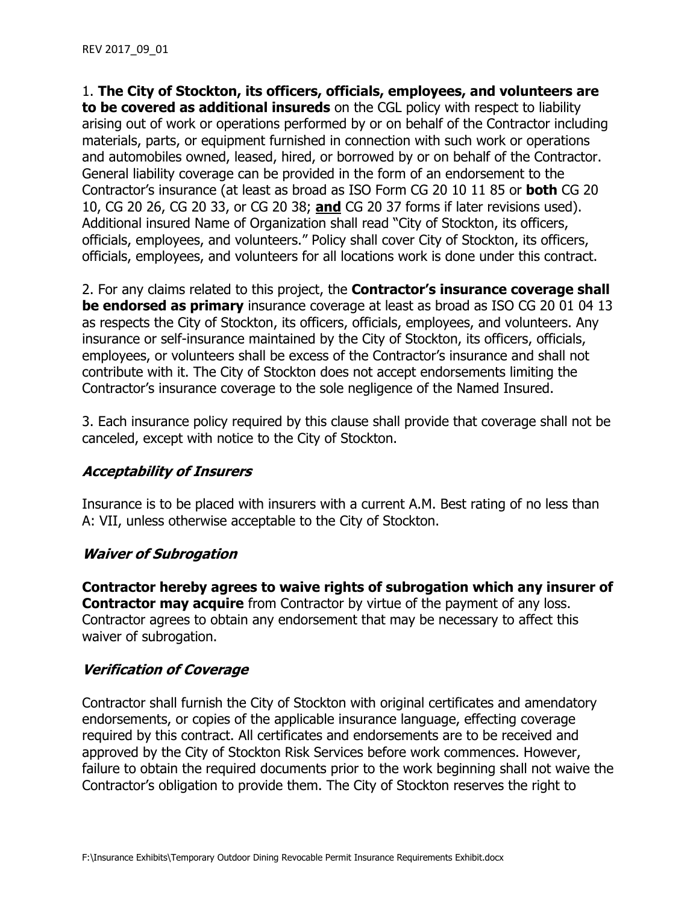1. **The City of Stockton, its officers, officials, employees, and volunteers are to be covered as additional insureds** on the CGL policy with respect to liability arising out of work or operations performed by or on behalf of the Contractor including materials, parts, or equipment furnished in connection with such work or operations and automobiles owned, leased, hired, or borrowed by or on behalf of the Contractor. General liability coverage can be provided in the form of an endorsement to the Contractor's insurance (at least as broad as ISO Form CG 20 10 11 85 or **both** CG 20 10, CG 20 26, CG 20 33, or CG 20 38; **and** CG 20 37 forms if later revisions used). Additional insured Name of Organization shall read "City of Stockton, its officers, officials, employees, and volunteers." Policy shall cover City of Stockton, its officers, officials, employees, and volunteers for all locations work is done under this contract.

2. For any claims related to this project, the **Contractor's insurance coverage shall be endorsed as primary** insurance coverage at least as broad as ISO CG 20 01 04 13 as respects the City of Stockton, its officers, officials, employees, and volunteers. Any insurance or self-insurance maintained by the City of Stockton, its officers, officials, employees, or volunteers shall be excess of the Contractor's insurance and shall not contribute with it. The City of Stockton does not accept endorsements limiting the Contractor's insurance coverage to the sole negligence of the Named Insured.

3. Each insurance policy required by this clause shall provide that coverage shall not be canceled, except with notice to the City of Stockton.

### **Acceptability of Insurers**

Insurance is to be placed with insurers with a current A.M. Best rating of no less than A: VII, unless otherwise acceptable to the City of Stockton.

### **Waiver of Subrogation**

**Contractor hereby agrees to waive rights of subrogation which any insurer of Contractor may acquire** from Contractor by virtue of the payment of any loss. Contractor agrees to obtain any endorsement that may be necessary to affect this waiver of subrogation.

# **Verification of Coverage**

Contractor shall furnish the City of Stockton with original certificates and amendatory endorsements, or copies of the applicable insurance language, effecting coverage required by this contract. All certificates and endorsements are to be received and approved by the City of Stockton Risk Services before work commences. However, failure to obtain the required documents prior to the work beginning shall not waive the Contractor's obligation to provide them. The City of Stockton reserves the right to